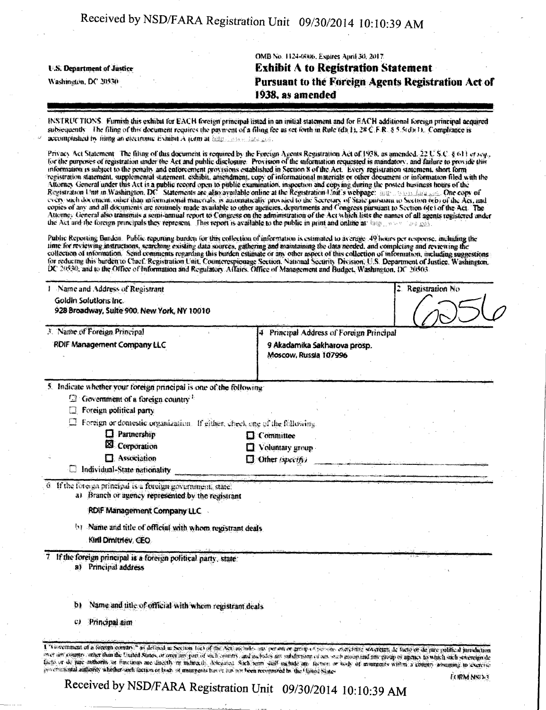| Received by NSD/FARA Registration Unit $09/30/2014$ 10:10:39 AM |  |  |  |
|-----------------------------------------------------------------|--|--|--|
|-----------------------------------------------------------------|--|--|--|

|                                   | OMB No. 1124-6006, Expires April 30, 2017.         |
|-----------------------------------|----------------------------------------------------|
| <b>U.S. Department of Justice</b> | <b>Exhibit A to Registration Statement</b>         |
| Washington, DC 20530              | Pursuant to the Foreign Agents Registration Act of |
|                                   | 1938, as amended                                   |
|                                   |                                                    |

INSTRUCTIONS. Furnish this exhibit for EACH foreign principal listed in an initial statement and for EACH additional foreign principal acquired subsequently The filling of this document requires the payment of a filing fee as set forth in Rule (d)(1), 28 C.F.R. § 5.5(d)(1). Compliance is accomplished by thing an electronic Exhibit A torm at ladge assessments.

Privacy Act Statement. The filing of this document is required by the Foreign Agents Registration Act of 1938, as amended, 22 U S.C. § 611 et seq., for the purposes of registration under the Act and public disclosure. Provision of the information requested is mandatory, and failure to provide this information is subject to the penalty and enforcement provisions establ registration statement, supplemental statement, exhibit, antendment, copy of informational materials or other document or information filed with the Attorney General under this Act is a public record open to public examination, inspection and copying during the posted business hours of the Registration Unit in Washington, DC Statements are also available online at the every such document, other than informational materials, is anomatically provided to the Secretary of State pursuant to Secreton 6(b) of the Act, and copies of any and all documents are routinely made available to other ag Attorney General also transmits a semi-annual report to Congress on the administration of the Act which lists the names of all agents registered under<br>the Act and the foreign principals they represent. This report is avail

Public Reporting Burden. Public reporting burden (or this collection of information is estimated to average. 49 hours per response, including the time for reviewing instructions, searching existing data sources, gathering and maintaining the data needed, and completing and reviewing the collection of information. Send comments regarding this burden estimate or any other aspect of this collection of information, including suggestions for reducing this burden to Chief. Registration Unit, Counterespionage Se

|     | 3. Name of Foreign Principal<br><b>RDIF Management Company LLC</b>                                               | Principal Address of Foreign Principal<br>4.<br>9 Akadamika Sakharova prosp.<br>Moscow, Russia 107996 |
|-----|------------------------------------------------------------------------------------------------------------------|-------------------------------------------------------------------------------------------------------|
|     | 5. Indicate whether your foreign principal is one of the following:                                              |                                                                                                       |
|     | $\Box$ Government of a foreign country <sup>1</sup>                                                              |                                                                                                       |
| U.  | Foreign political party.                                                                                         |                                                                                                       |
|     | Foreign or domestic organization. If either, check one of the following.                                         |                                                                                                       |
|     | $\Box$ Partnership                                                                                               | $\Box$ Committee                                                                                      |
|     | Corporation                                                                                                      | Voluntary group                                                                                       |
|     | <b>D.</b> Association                                                                                            | $\Box$ Other (specify)                                                                                |
|     | Individual-State nationality                                                                                     |                                                                                                       |
|     | 6. If the foreign principal is a foreign government, state.<br>a) Branch or agency represented by the registrant |                                                                                                       |
|     | <b>RDIF Management Company LLC</b>                                                                               |                                                                                                       |
|     | by Name and title of official with whom registrant deals.<br>Kirll Dmitriev, CEO.                                |                                                                                                       |
|     |                                                                                                                  |                                                                                                       |
|     | If the foreign principal is a foreign political party, state:<br>a) Principal address                            |                                                                                                       |
| Đ). | Name and title of official with whom registrant deals.                                                           |                                                                                                       |
| O   | Principal aim                                                                                                    |                                                                                                       |

Received by NSD/FARA Registration Unit 09/30/2014 10:10:39 AM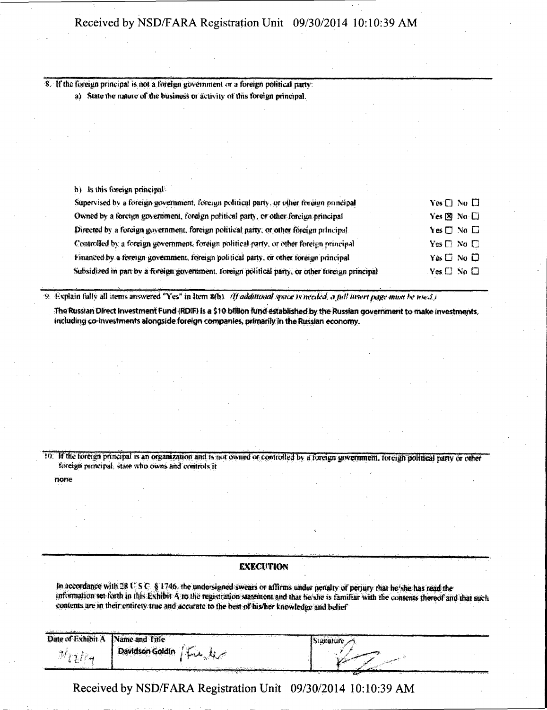8. If the foreign principal is not a foreign government or a foreign political party: a) State the nature of the business or activity of this foreign principal.

b) Is this foreign principal

| Supervised by a foreign government, foreign political party, or other foreign principal         | $Yes \Box No \Box$                           |
|-------------------------------------------------------------------------------------------------|----------------------------------------------|
| Owned by a foreign government, foreign political party, or other foreign principal              | Yes $\boxtimes$ No. $\square$                |
| Directed by a foreign government, foreign political party, or other foreign principal           | $\mathsf{Yes} \ \Box \ \ \mathsf{No} \ \Box$ |
| Controlled by a foreign government, foreign political party, or other foreign principal         | Yes $\square$ No $\square$                   |
| Financed by a foreign government, foreign political party, or other foreign principal           | Yes $\square$ No $\square$                   |
| Subsidized in part by a foreign government, foreign political party, or other foreign principal | Yes $\square$ No $\square$                   |

9. Explain fully all items answered "Yes" in Item 8(b). (If additional space is needed, a full insert page must be used.)

The Russian Direct Investment Fund (RDIF) is a \$10 billion fund established by the Russian government to make investments. including co-investments alongside foreign companies, primarily in the Russian economy.

10. If the foreign principal is an organization and is not owned or controlled by a foreign government, foreign political party or other foreign principal, state who owns and controls it

none

### **EXECUTION**

In accordance with 28 U.S.C. § 1746, the undersigned swears or affirms under penalty of perjury that he'she has read the information set forth in this Exhibit A to the registration statement and that he she is familiar with the contents thereof and that such contents are in their entirety true and accurate to the best of his/her knowledge and belief

| Date of Exhibit A | Name and Title                          | ISignature |
|-------------------|-----------------------------------------|------------|
| 有数千               | <b>Davidson Goldin</b><br>$\mathcal{R}$ |            |
|                   |                                         |            |

Received by NSD/FARA Registration Unit 09/30/2014 10:10:39 AM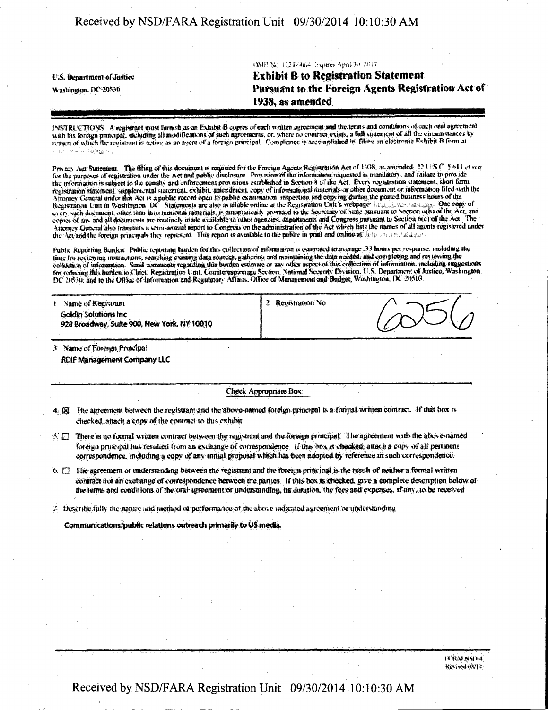**U.S. Department of Justice** 

Washington. DC-20530

# OMB No. 1124-0004. Expires Apol 30, 2017 **Exhibit B to Registration Statement** Pursuant to the Foreign Agents Registration Act of 1938, as amended

INSTRUCTIONS. A registrant must limush as an Exhibit B copies of each written agreement and the terms and conditions of each oral agreement with his foreign principal, including all modifications of such agreements, or, where no contract exists, a full statement of all the circumstances by reason of which the registrant is acting as an agent of a foreign principal. Compliance is accomplished by filing an electronic Exhibit B form at iwa u Taranzi

Privacy Act Statement: The filing of this document is required for the Foreign Agents Registration Act of 1938, as amonded, 22 U.S.C. § 611 et seq. for the parnoses of registration under the Act and public disclosure Provision of the information requested is mandatory, and failure to provide the information is subject to the penalty and enforcement provisions established in Section 8 of the Act. Every registration statement, short form registration statement, supplemental statement, exhibit, antendment, copy of informational materials or other document or information filed with the Attorney General under this Act is a public record open to public examination, inspection and copying during the posted business hours of the<br>Registration Unit in Washington, DC Statements are also available online at the One com of every such document, other than informational materials, is automatically provided to the Secretary of State pursuant to Section of by of the Act, and copies of any and all documents are routinely made available to other a Attorney General also transmits a semi-annual report to Congress on the administration of the Act which lists the names of all agents registered under the Act and the foreign principals they represent. This report is available to the public in print and online at 200, 30 per sea 22

Public Reporting Barden. Public reporting burden for this collection of information is estimated to average 33 hours per response, including the time for reviewing instructions, searching existing data sources, gathering and maintaining the data needed. and completing and reviewing the collection of information. Send comments regarding this burden estimate or any other aspect of this collection of information, including suggestions for reducing this burden to Chief. Registration Unit, Counterespionage Se DC 20530, and to the Office of Information and Regulatory Affairs. Office of Management and Budget, Washington, DC 20503

| Name of Registrant                                                          | Registration No. |  |
|-----------------------------------------------------------------------------|------------------|--|
| <b>Goldin Solutions Inc.</b><br>928 Broadway, Suite 900, New York, NY 10010 |                  |  |
|                                                                             |                  |  |

3. Name of Foreugn Principal **RDIF Management Company LLC** 

**Check Appropriate Box** 

- 4. [8] The agreement between the registrant and the above-named foreign principal is a formal written contract. If this box is checked, attach a copy of the contract to this exhibit.
- 5. [7] There is no formal written contract between the registrant and the foreign principal. The agreement with the above-named foreign principal has resulted from an exchange of correspondence. If this box is checked, attack a copy of all pertinent correspondence, including a copy of any untial proposal which has been adopted by reference in such correspondence.
- 6. [7] The agreement or understanding between the registrant and the foreign principal is the result of neither a formal written contract nor an exchange of correspondence between the parties. If this box is checked, give a complete description below of the terms and conditions of the oral agreement or understanding, its duration, the fees and expenses, if any, to be received

 $\dot{\mathcal{Z}}$ . Describe fully the nature and method of performance of the above indicated agreement or understanding

Communications/public relations outreach primarily to US media.

**FORM NSD-4** Revised 03/14

# Received by NSD/FARA Registration Unit 09/30/2014 10:10:30 AM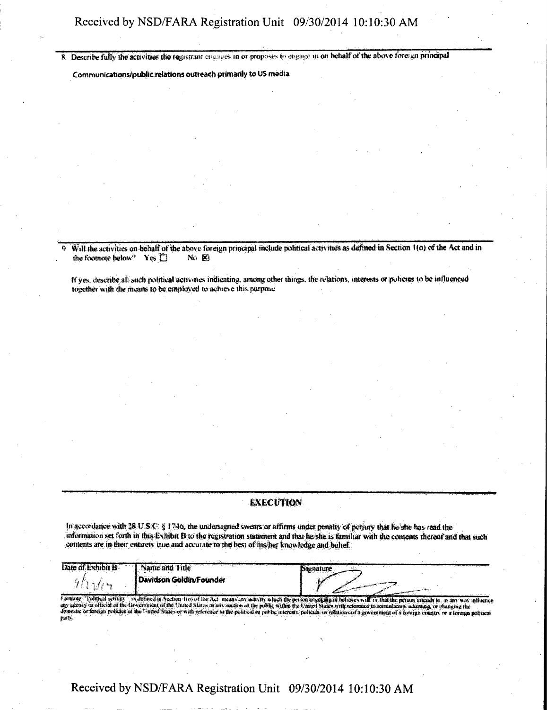8. Describe fully the activities the registrant engages in or proposes to engage in on behalf of the above foreign principal

Communications/public relations outreach primarily to US media.

Will the activities on behalf of the above foreign principal include political activities as defined in Section 1(o) of the Act and in Ò the footnote below? Yes  $\square$ No **X** 

If yes, describe all such political activities indicating, among other things, the relations, interests or policies to be influenced together with the means to be employed to achieve this purpose.

### **EXECUTION**

In accordance with 28 U.S.C. § 1746, the undersigned swears or affirms under penalty of perjury that he she has read the information set forth in this Exhibit B to the registration statement and that he she is familiar with the contents thereof and that such contents are in their entirety true and accurate to the best of his/her knowledge and belief.

| Date of Exhibit B. | Name and Title          | Signature |  |
|--------------------|-------------------------|-----------|--|
|                    | Davidson Goldin/Founder | и.        |  |
|                    |                         |           |  |

Footnote: "Political genvity" as defined in Sociion Hoy of the Act. means an activity which the person engaging in believes will, or that the person intends to an any way influence<br>any agency or official of the Government party

# Received by NSD/FARA Registration Unit 09/30/2014 10:10:30 AM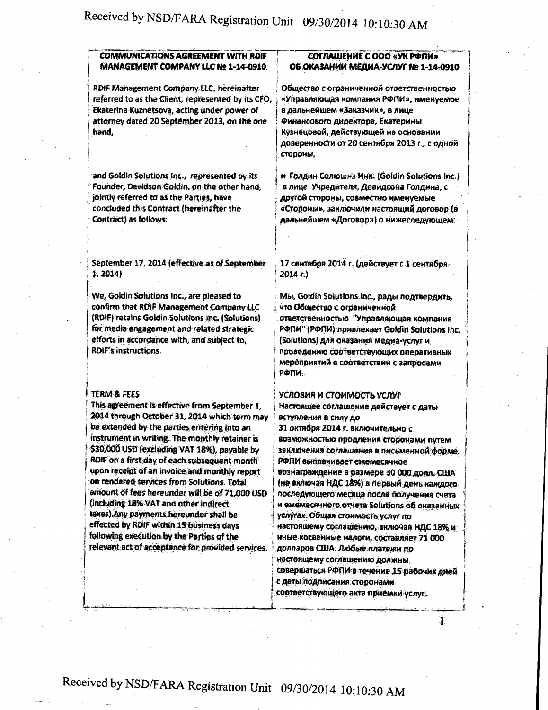### **COMMUNICATIONS AGREEMENT WITH RDIF** MANAGEMENT COMPANY LLC Nº 1-14-0910

RDIF Management Company LLC, hereinafter referred to as the Client, represented by its CFO, Ekaterina Kuznetsova, acting under power of attorney dated 20 September 2013, on the one hand.

and Goldin Solutions Inc., represented by its Founder, Davidson Goldin, on the other hand. jointly referred to as the Parties, have concluded this Contract (hereinafter the Contract) as follows:

September 17, 2014 (effective as of September  $1, 2014$ 

We, Goldin Solutions Inc., are pleased to confirm that ROIF Management Company LLC (RDIF) retains Goldin Solutions Inc. (Solutions) for media engagement and related strategic efforts in accordance with, and subject to, **RDIF's instructions.** 

#### **TERM & FEES**

This agreement is effective from September 1, 2014 through October 31, 2014 which term may be extended by the parties entering into an instrument in writing. The monthly retainer is \$30,000 USD (excluding VAT 18%), payable by RDIF on a first day of each subsequent month upon receipt of an invoice and monthly report on rendered services from Solutions. Total amount of fees hereunder will be of 71,000 USD (including 18% VAT and other indirect taxes). Any payments hereunder shall be effected by RDIF within 15 business days following execution by the Parties of the relevant act of acceptance for provided services.

### СОГЛАШЕНИЕ С ООО «УК РФПИ» ОБ ОКАЗАНИИ МЕДИА-УСЛУГ № 1-14-0910

Общество с ограниченной ответственностью «Управляющая компания РФПИ», именуемое в дальнейшем «Заказчик», в лице Финансового директора, Екатерины Кузнецовой, действующей на основании доверенности от 20 сентября 2013 г., с одной стороны.

и Голдин Солюшнз Инк. (Goldin Solutions Inc.) в лице Учредителя. Девидсона Голдина, с другой стороны, совместно именуемые «Стороны», заключили настоящий договор (в дальнейшем «Договор») о нижеследующем:

17 сентября 2014 г. (действует с 1 сентября- $2014$  r.)

Мы, Goldin Solutions Inc., рады подтвердить, что Общество с ограниченной ответственностью "Управляющая компания РФПИ" (РФПИ) привлекает Goldin Solutions Inc. (Solutions) для оказания медиа-услуг и проведению соответствующих оперативных мероприятий в соответствии с запросами РФПИ.

### УСЛОВИЯ И СТОИМОСТЬ УСЛУГ

Настоящее соглашение действует с даты вступления в силу до

31 октября 2014 г. включительно с.

возможностью продления сторонами путем заключения соглашения в письменной форме. РФПИ выплачивает ежемесячное вознаграждение в размере 30 000 долл. США (не включая НДС 18%) в первый день каждого последующего месяца после получения счета и ежемесячного отчета Solutions об оказанных услугах. Общая стоимость услуг по настоящему соглашению, включая НДС 18% и иные косвенные налоги, составляет 71 000 долларов США. Любые платежи по настоящему соглашению должны. совершаться РФПИ в течение 15 рабочих дней с даты подписания сторонами соответствующего акта приемки услуг.

Ť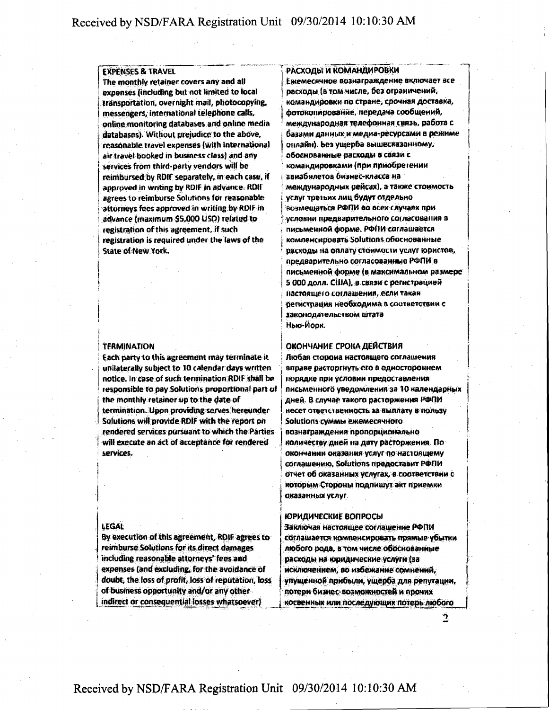#### **EXPENSES & TRAVEL**

The monthly retainer covers any and all expenses (including but not limited to local transportation, overnight mail, photocopying. messengers, international telephone calls, online monitoring databases and online media databases). Without prejudice to the above, reasonable travel expenses (with international air travel booked in business class) and any services from third-party vendors will be reimbursed by RDIF separately, in each case, if approved in writing by RDIF in advance. RDIT agrees to reimburse Solutions for reasonable attorneys fees approved in writing by ROIF in advance (maximum \$5,000 USD) related to registration of this agreement, if such registration is required under the laws of the State of New York.

#### **TERMINATION**

Each party to this agreement may terminate it unilaterally subject to 10 calendar days written notice. In case of such termination RDIF shall be responsible to pay Solutions proportional part of the monthly retainer up to the date of termination. Upon providing serves hereunder Solutions will provide RDIF with the report on rendered services pursuant to which the Parties will execute an act of acceptance for rendered services.

#### **LEGAL**

By execution of this agreement, RDIF agrees to reimburse Solutions for its direct damages including reasonable attorneys' fees and expenses (and excluding, for the avoidance of doubt, the loss of profit, loss of reputation, loss of business opportunity and/or any other indirect or consequential losses whatsoever).

### РАСХОДЫ И КОМАНДИРОВКИ

Ежемесячное вознаграждение включает все расходы (в том числе, без ограничений, командировки по стране, срочная доставка, фотокопирование, передача сообщений, международная телефонная связь, работа с базами данных и медиа-ресурсами в режиме онлайн). Без ущерба вышесказанному, обоснованные расходы в связи с командировками (при приобретении авиабилетов бизнес-класса на международных рейсах), а также стоимость услуг третьих лиц будут отдельно возмещаться РФПИ во всех случаях при условии предварительного согласования в письменной форме. РФПИ соглашается компенсировать Solutions обоснованные расходы на оплату стоимости услуг юристов, предварительно согласованные РФПИ в письменной форме (в максимальном размере 5 000 долл. США), в связи с регистрацией настоящего соглашения, если такая регистрация необходима в соответствии с законодательством штата Нью-Йорк.

### ОКОНЧАНИЕ СРОКА ДЕЙСТВИЯ

Любая сторона настоящего соглашения вправе расторгнуть его в одностороннем порядке при условии предоставления письменного уведомления за 10 календарных дней. В случае такого расторжения РФПИ несет ответственность за выплату в пользу Solutions суммы ежемесячного вознаграждения пропорционально количеству дней на дату расторжения. Поокончании оказания услуг по настоящему соглашению, Solutions предоставит РФПИ отчет об оказанных услугах, в соответствии с которым Стороны подпишут акт приемки оказанных услуг.

### ЮРИДИЧЕСКИЕ ВОПРОСЫ

Заключая настоящее соглашение РФПИ соглашается компенсировать прямые убытки любого рода, в том числе обоснованные расходы на юридические услуги (за исключением, во избежание сомнений, упущенной прибыли, ущерба для репутации, потери бизнес-возможностей и прочих косвенных или последующих потерь любого

 $\bar{2}$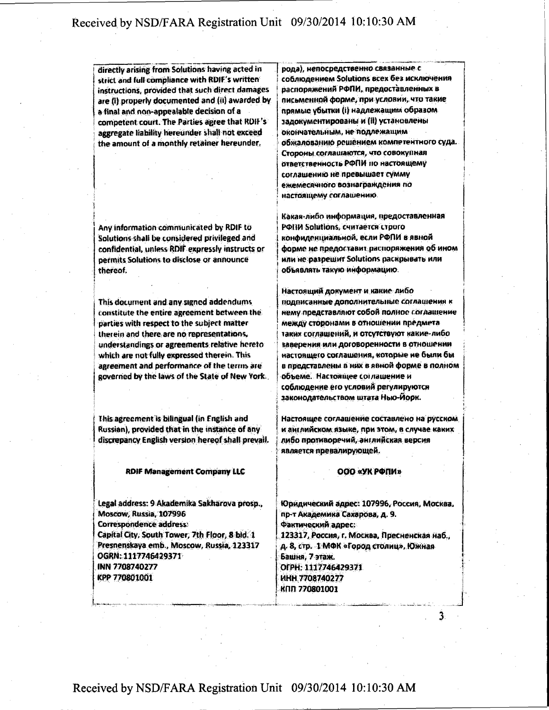directly arising from Solutions having acted in strict and full compliance with RDIF's written instructions, provided that such direct damages are (i) properly documented and (ii) awarded by a final and non-appealable decision of a competent court. The Parties agree that ROIF's aggregate liability hereunder shall not exceed the amount of a monthly retainer hereunder.

Any information communicated by RDIF to Solutions shall be considered privileged and confidential, unless RDIF expressly instructs or permits Solutions to disclose or announce thereof.

This document and any signed addendums constitute the entire agreement between the parties with respect to the subject matter therein and there are no representations, understandings or agreements relative hereto which are not fully expressed therein. This agreement and performance of the terms are governed by the laws of the State of New York.

This agreement is bilingual (in English and Russian), provided that in the instance of any discrepancy English version hereof shall prevail.

**RDIF Management Company LLC** 

Legal address: 9 Akademika Sakharova prosp., Moscow, Russia, 107996 **Correspondence address:** Capital City, South Tower, 7th Floor, 8 bid. 1 Presnenskaya emb., Moscow, Russia, 123317 OGRN: 1117746429371 INN 7708740277 KPP 770801001

рода), непосредственно связанные с соблюдением Solutions всех без исключения распоряжений РФПИ, предоставленных в письменной форме, при условии, что такие прямые убытки (і) надлежащим образом. задокументированы и (ii) установлены окончательным, не подлежащим обжалованию решёнием компетентного суда. Стороны соглашаются, что совокупная ответственность РФПИ по настоящему соглашению не превышает сумму ежемесячного вознаграждения по настоящему соглашению.

Какая-либо информация, предоставленная РФПИ Solutions, считается строго конфиденциальной, если РФПИ в явной форме не предоставит распоряжения об ином или не разрешит Solutions раскрывать или объявлять такую информацию.

Настоящий документ и какие либо подписанные дополнительные соглашения к нему представляют собой полное соглашение между сторонами в отношении предмета таких соглашений, и отсутствуют какие-либо заверения или договоренности в отношении настоящего соглашения, которые не были бы в представлены в них в явной форме в полном объеме. Настоящее соглашение и соблюдение его условий регулируются законодательством штата Нью-Йорк.

Настоящее соглашение составлено на русском и английском языке, при этом, в случае каких либо противоречий, английская версия является превалирующей.

#### ООО «УК РФПИ»

Юридический адрес: 107996, Россия, Москва, пр-т Академика Сахарова, д. 9. Фантический адрес: 123317, Россия, г. Москва, Пресненская наб., д. 8, стр. 1 МФК «Город столиц», Южная Башня, 7 этаж. OFPH: 1117746429371 **ИНН 7708740277 KNN 770801001** 

3